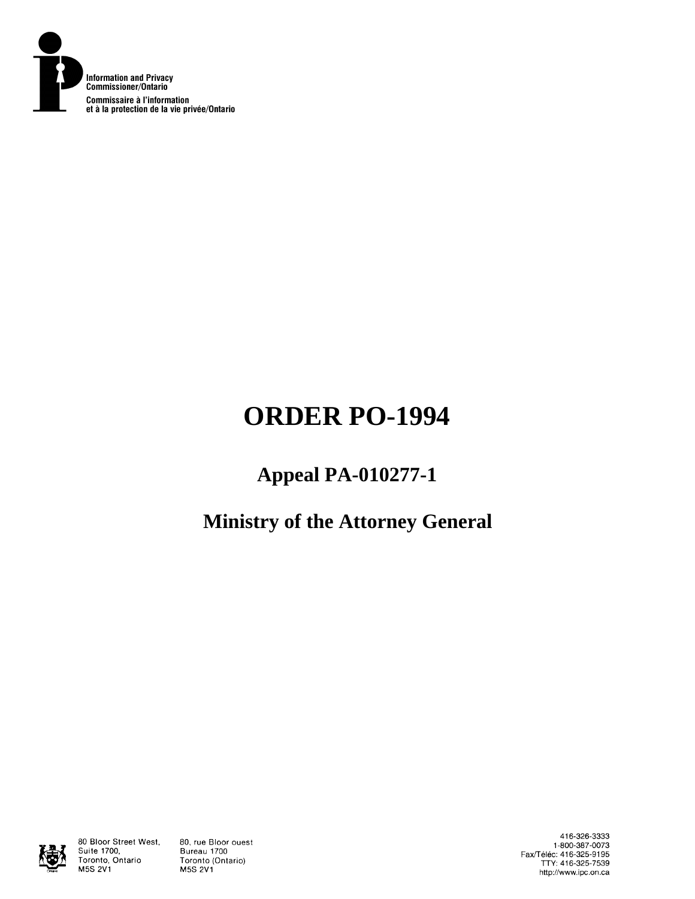

# **ORDER PO-1994**

# **Appeal PA-010277-1**

# **Ministry of the Attorney General**



80 Bloor Street West, Suite 1700, Toronto, Ontario **M5S 2V1** 

80, rue Bloor ouest Bureau 1700 Toronto (Ontario) **M5S 2V1** 

416-326-3333 1-800-387-0073 Fax/Téléc: 416-325-9195<br>TTY: 416-325-7539 http://www.ipc.on.ca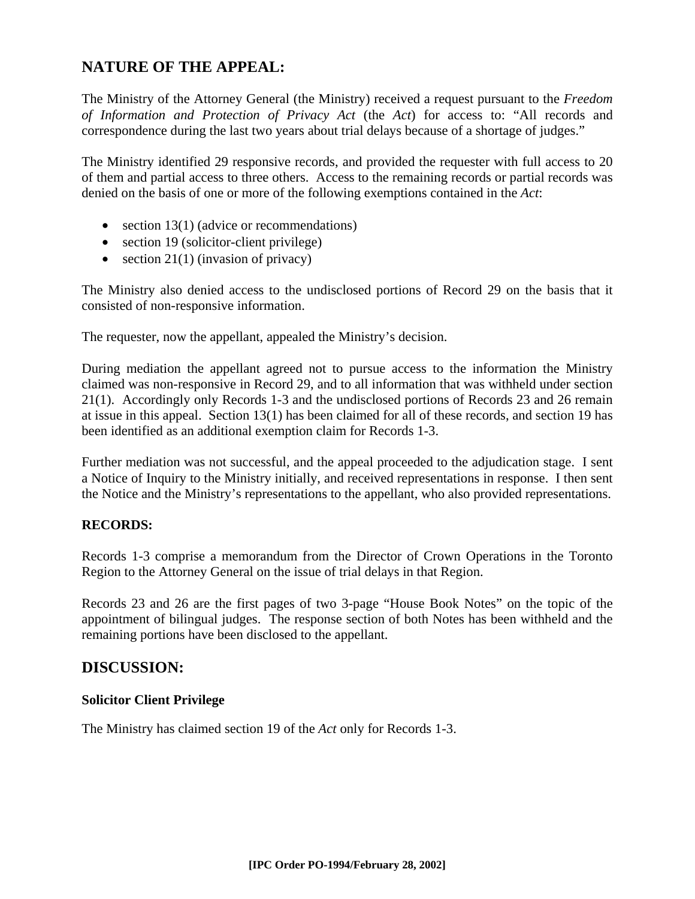## **NATURE OF THE APPEAL:**

The Ministry of the Attorney General (the Ministry) received a request pursuant to the *Freedom of Information and Protection of Privacy Act* (the *Act*) for access to: "All records and correspondence during the last two years about trial delays because of a shortage of judges."

The Ministry identified 29 responsive records, and provided the requester with full access to 20 of them and partial access to three others. Access to the remaining records or partial records was denied on the basis of one or more of the following exemptions contained in the *Act*:

- section 13(1) (advice or recommendations)
- section 19 (solicitor-client privilege)
- section  $21(1)$  (invasion of privacy)

The Ministry also denied access to the undisclosed portions of Record 29 on the basis that it consisted of non-responsive information.

The requester, now the appellant, appealed the Ministry's decision.

During mediation the appellant agreed not to pursue access to the information the Ministry claimed was non-responsive in Record 29, and to all information that was withheld under section 21(1). Accordingly only Records 1-3 and the undisclosed portions of Records 23 and 26 remain at issue in this appeal. Section 13(1) has been claimed for all of these records, and section 19 has been identified as an additional exemption claim for Records 1-3.

Further mediation was not successful, and the appeal proceeded to the adjudication stage. I sent a Notice of Inquiry to the Ministry initially, and received representations in response. I then sent the Notice and the Ministry's representations to the appellant, who also provided representations.

#### **RECORDS:**

Records 1-3 comprise a memorandum from the Director of Crown Operations in the Toronto Region to the Attorney General on the issue of trial delays in that Region.

Records 23 and 26 are the first pages of two 3-page "House Book Notes" on the topic of the appointment of bilingual judges. The response section of both Notes has been withheld and the remaining portions have been disclosed to the appellant.

### **DISCUSSION:**

#### **Solicitor Client Privilege**

The Ministry has claimed section 19 of the *Act* only for Records 1-3.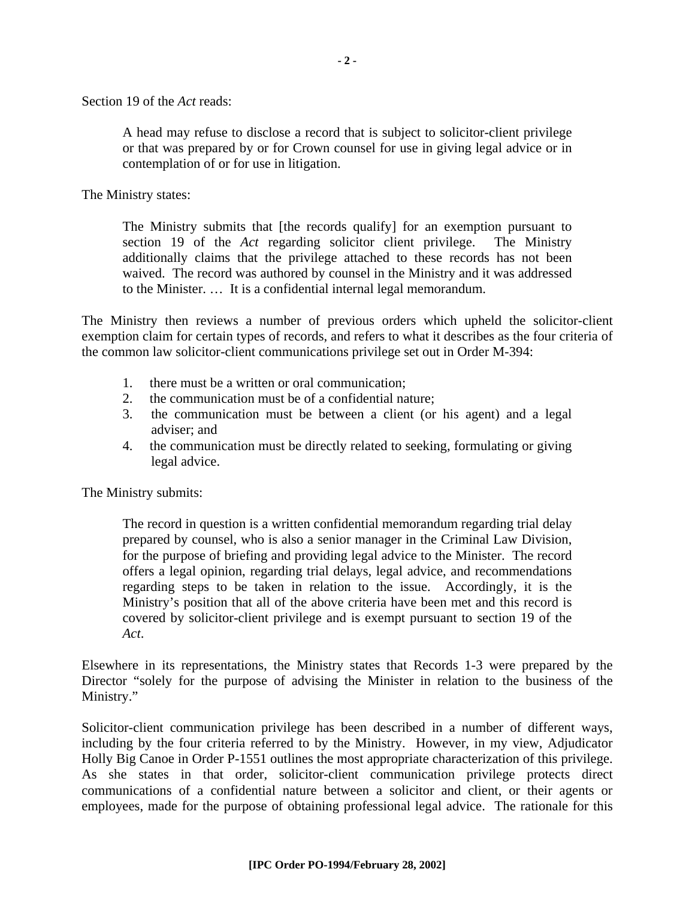Section 19 of the *Act* reads:

A head may refuse to disclose a record that is subject to solicitor-client privilege or that was prepared by or for Crown counsel for use in giving legal advice or in contemplation of or for use in litigation.

The Ministry states:

The Ministry submits that [the records qualify] for an exemption pursuant to section 19 of the *Act* regarding solicitor client privilege. The Ministry additionally claims that the privilege attached to these records has not been waived. The record was authored by counsel in the Ministry and it was addressed to the Minister. … It is a confidential internal legal memorandum.

The Ministry then reviews a number of previous orders which upheld the solicitor-client exemption claim for certain types of records, and refers to what it describes as the four criteria of the common law solicitor-client communications privilege set out in Order M-394:

- 1. there must be a written or oral communication;
- 2. the communication must be of a confidential nature;
- 3. the communication must be between a client (or his agent) and a legal adviser; and
- 4. the communication must be directly related to seeking, formulating or giving legal advice.

The Ministry submits:

The record in question is a written confidential memorandum regarding trial delay prepared by counsel, who is also a senior manager in the Criminal Law Division, for the purpose of briefing and providing legal advice to the Minister. The record offers a legal opinion, regarding trial delays, legal advice, and recommendations regarding steps to be taken in relation to the issue. Accordingly, it is the Ministry's position that all of the above criteria have been met and this record is covered by solicitor-client privilege and is exempt pursuant to section 19 of the *Act*.

Elsewhere in its representations, the Ministry states that Records 1-3 were prepared by the Director "solely for the purpose of advising the Minister in relation to the business of the Ministry."

Solicitor-client communication privilege has been described in a number of different ways, including by the four criteria referred to by the Ministry. However, in my view, Adjudicator Holly Big Canoe in Order P-1551 outlines the most appropriate characterization of this privilege. As she states in that order, solicitor-client communication privilege protects direct communications of a confidential nature between a solicitor and client, or their agents or employees, made for the purpose of obtaining professional legal advice. The rationale for this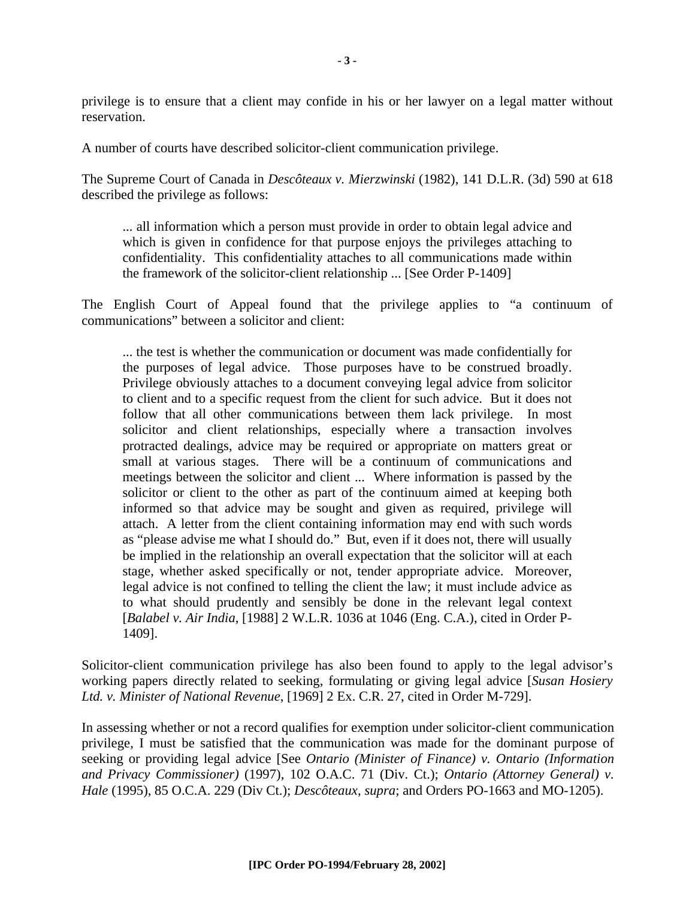privilege is to ensure that a client may confide in his or her lawyer on a legal matter without reservation.

A number of courts have described solicitor-client communication privilege.

The Supreme Court of Canada in *Descôteaux v. Mierzwinski* (1982), 141 D.L.R. (3d) 590 at 618 described the privilege as follows:

... all information which a person must provide in order to obtain legal advice and which is given in confidence for that purpose enjoys the privileges attaching to confidentiality. This confidentiality attaches to all communications made within the framework of the solicitor-client relationship ... [See Order P-1409]

The English Court of Appeal found that the privilege applies to "a continuum of communications" between a solicitor and client:

... the test is whether the communication or document was made confidentially for the purposes of legal advice. Those purposes have to be construed broadly. Privilege obviously attaches to a document conveying legal advice from solicitor to client and to a specific request from the client for such advice. But it does not follow that all other communications between them lack privilege. In most solicitor and client relationships, especially where a transaction involves protracted dealings, advice may be required or appropriate on matters great or small at various stages. There will be a continuum of communications and meetings between the solicitor and client ... Where information is passed by the solicitor or client to the other as part of the continuum aimed at keeping both informed so that advice may be sought and given as required, privilege will attach. A letter from the client containing information may end with such words as "please advise me what I should do." But, even if it does not, there will usually be implied in the relationship an overall expectation that the solicitor will at each stage, whether asked specifically or not, tender appropriate advice. Moreover, legal advice is not confined to telling the client the law; it must include advice as to what should prudently and sensibly be done in the relevant legal context [*Balabel v. Air India*, [1988] 2 W.L.R. 1036 at 1046 (Eng. C.A.), cited in Order P-1409].

Solicitor-client communication privilege has also been found to apply to the legal advisor's working papers directly related to seeking, formulating or giving legal advice [*Susan Hosiery Ltd. v. Minister of National Revenue*, [1969] 2 Ex. C.R. 27, cited in Order M-729].

In assessing whether or not a record qualifies for exemption under solicitor-client communication privilege, I must be satisfied that the communication was made for the dominant purpose of seeking or providing legal advice [See *Ontario (Minister of Finance) v. Ontario (Information and Privacy Commissioner)* (1997), 102 O.A.C. 71 (Div. Ct.); *Ontario (Attorney General) v. Hale* (1995), 85 O.C.A. 229 (Div Ct.); *Descôteaux*, *supra*; and Orders PO-1663 and MO-1205).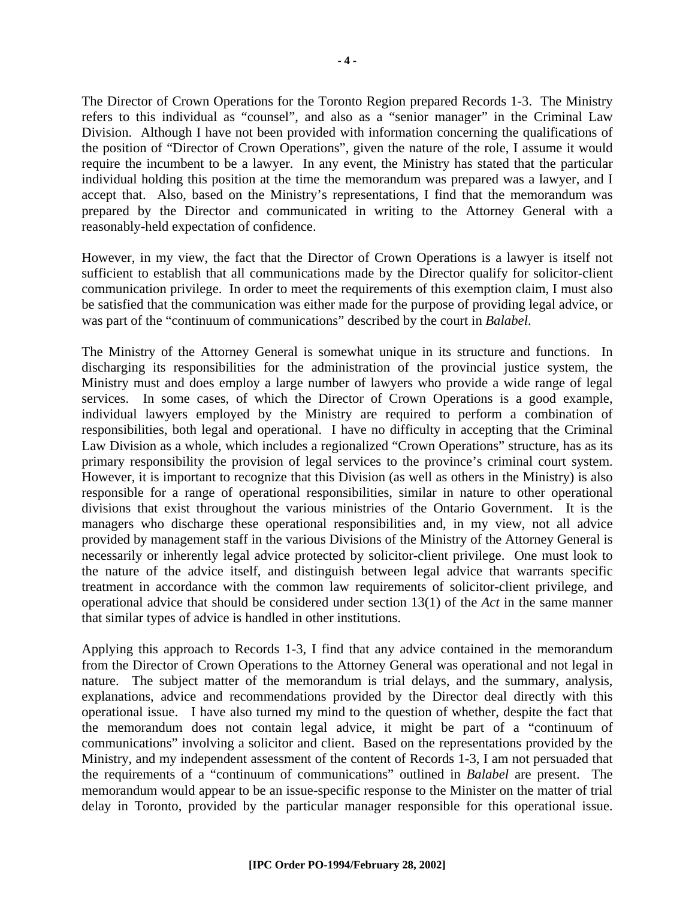The Director of Crown Operations for the Toronto Region prepared Records 1-3. The Ministry refers to this individual as "counsel", and also as a "senior manager" in the Criminal Law Division. Although I have not been provided with information concerning the qualifications of the position of "Director of Crown Operations", given the nature of the role, I assume it would require the incumbent to be a lawyer. In any event, the Ministry has stated that the particular individual holding this position at the time the memorandum was prepared was a lawyer, and I accept that. Also, based on the Ministry's representations, I find that the memorandum was prepared by the Director and communicated in writing to the Attorney General with a reasonably-held expectation of confidence.

However, in my view, the fact that the Director of Crown Operations is a lawyer is itself not sufficient to establish that all communications made by the Director qualify for solicitor-client communication privilege. In order to meet the requirements of this exemption claim, I must also be satisfied that the communication was either made for the purpose of providing legal advice, or was part of the "continuum of communications" described by the court in *Balabel*.

The Ministry of the Attorney General is somewhat unique in its structure and functions. In discharging its responsibilities for the administration of the provincial justice system, the Ministry must and does employ a large number of lawyers who provide a wide range of legal services. In some cases, of which the Director of Crown Operations is a good example, individual lawyers employed by the Ministry are required to perform a combination of responsibilities, both legal and operational. I have no difficulty in accepting that the Criminal Law Division as a whole, which includes a regionalized "Crown Operations" structure, has as its primary responsibility the provision of legal services to the province's criminal court system. However, it is important to recognize that this Division (as well as others in the Ministry) is also responsible for a range of operational responsibilities, similar in nature to other operational divisions that exist throughout the various ministries of the Ontario Government. It is the managers who discharge these operational responsibilities and, in my view, not all advice provided by management staff in the various Divisions of the Ministry of the Attorney General is necessarily or inherently legal advice protected by solicitor-client privilege. One must look to the nature of the advice itself, and distinguish between legal advice that warrants specific treatment in accordance with the common law requirements of solicitor-client privilege, and operational advice that should be considered under section 13(1) of the *Act* in the same manner that similar types of advice is handled in other institutions.

Applying this approach to Records 1-3, I find that any advice contained in the memorandum from the Director of Crown Operations to the Attorney General was operational and not legal in nature. The subject matter of the memorandum is trial delays, and the summary, analysis, explanations, advice and recommendations provided by the Director deal directly with this operational issue. I have also turned my mind to the question of whether, despite the fact that the memorandum does not contain legal advice, it might be part of a "continuum of communications" involving a solicitor and client. Based on the representations provided by the Ministry, and my independent assessment of the content of Records 1-3, I am not persuaded that the requirements of a "continuum of communications" outlined in *Balabel* are present. The memorandum would appear to be an issue-specific response to the Minister on the matter of trial delay in Toronto, provided by the particular manager responsible for this operational issue.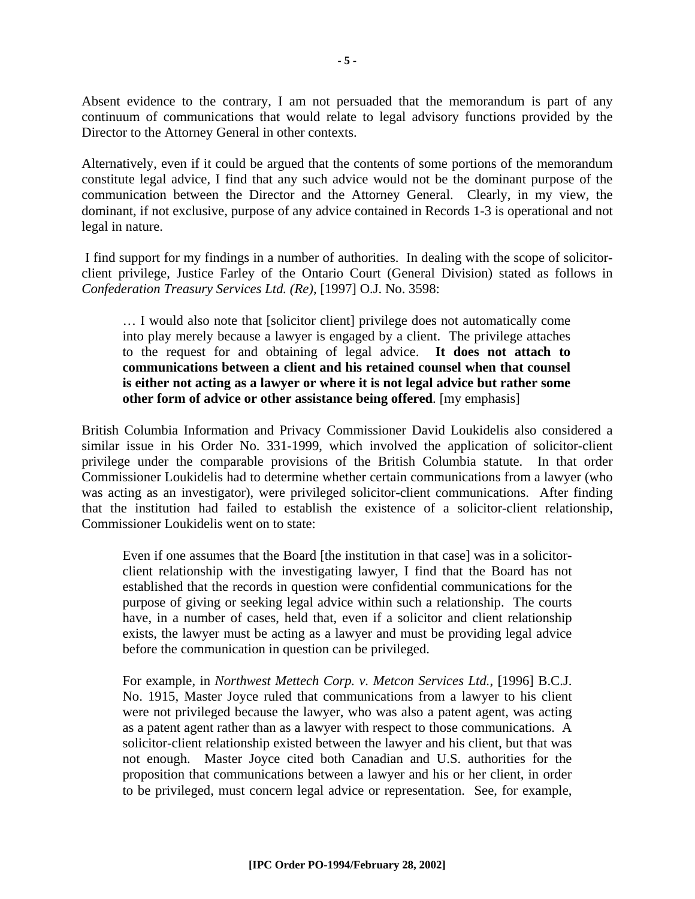Absent evidence to the contrary, I am not persuaded that the memorandum is part of any continuum of communications that would relate to legal advisory functions provided by the Director to the Attorney General in other contexts.

Alternatively, even if it could be argued that the contents of some portions of the memorandum constitute legal advice, I find that any such advice would not be the dominant purpose of the communication between the Director and the Attorney General. Clearly, in my view, the dominant, if not exclusive, purpose of any advice contained in Records 1-3 is operational and not legal in nature.

 I find support for my findings in a number of authorities. In dealing with the scope of solicitorclient privilege, Justice Farley of the Ontario Court (General Division) stated as follows in *Confederation Treasury Services Ltd. (Re)*, [1997] O.J. No. 3598:

… I would also note that [solicitor client] privilege does not automatically come into play merely because a lawyer is engaged by a client. The privilege attaches to the request for and obtaining of legal advice. **It does not attach to communications between a client and his retained counsel when that counsel is either not acting as a lawyer or where it is not legal advice but rather some other form of advice or other assistance being offered**. [my emphasis]

British Columbia Information and Privacy Commissioner David Loukidelis also considered a similar issue in his Order No. 331-1999, which involved the application of solicitor-client privilege under the comparable provisions of the British Columbia statute. In that order Commissioner Loukidelis had to determine whether certain communications from a lawyer (who was acting as an investigator), were privileged solicitor-client communications. After finding that the institution had failed to establish the existence of a solicitor-client relationship, Commissioner Loukidelis went on to state:

Even if one assumes that the Board [the institution in that case] was in a solicitorclient relationship with the investigating lawyer, I find that the Board has not established that the records in question were confidential communications for the purpose of giving or seeking legal advice within such a relationship. The courts have, in a number of cases, held that, even if a solicitor and client relationship exists, the lawyer must be acting as a lawyer and must be providing legal advice before the communication in question can be privileged.

For example, in *Northwest Mettech Corp. v. Metcon Services Ltd.*, [1996] B.C.J. No. 1915, Master Joyce ruled that communications from a lawyer to his client were not privileged because the lawyer, who was also a patent agent, was acting as a patent agent rather than as a lawyer with respect to those communications. A solicitor-client relationship existed between the lawyer and his client, but that was not enough. Master Joyce cited both Canadian and U.S. authorities for the proposition that communications between a lawyer and his or her client, in order to be privileged, must concern legal advice or representation. See, for example,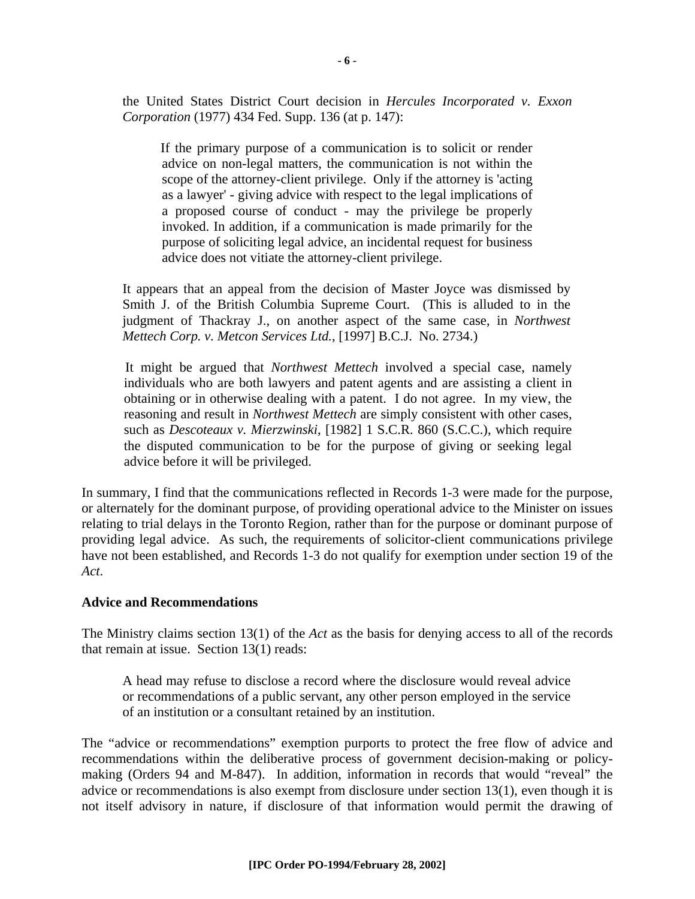the United States District Court decision in *Hercules Incorporated v. Exxon Corporation* (1977) 434 Fed. Supp. 136 (at p. 147):

If the primary purpose of a communication is to solicit or render advice on non-legal matters, the communication is not within the scope of the attorney-client privilege. Only if the attorney is 'acting as a lawyer' - giving advice with respect to the legal implications of a proposed course of conduct - may the privilege be properly invoked. In addition, if a communication is made primarily for the purpose of soliciting legal advice, an incidental request for business advice does not vitiate the attorney-client privilege.

It appears that an appeal from the decision of Master Joyce was dismissed by Smith J. of the British Columbia Supreme Court. (This is alluded to in the judgment of Thackray J., on another aspect of the same case, in *Northwest Mettech Corp. v. Metcon Services Ltd.*, [1997] B.C.J. No. 2734.)

It might be argued that *Northwest Mettech* involved a special case, namely individuals who are both lawyers and patent agents and are assisting a client in obtaining or in otherwise dealing with a patent. I do not agree. In my view, the reasoning and result in *Northwest Mettech* are simply consistent with other cases, such as *Descoteaux v. Mierzwinski*, [1982] 1 S.C.R. 860 (S.C.C.), which require the disputed communication to be for the purpose of giving or seeking legal advice before it will be privileged.

In summary, I find that the communications reflected in Records 1-3 were made for the purpose, or alternately for the dominant purpose, of providing operational advice to the Minister on issues relating to trial delays in the Toronto Region, rather than for the purpose or dominant purpose of providing legal advice. As such, the requirements of solicitor-client communications privilege have not been established, and Records 1-3 do not qualify for exemption under section 19 of the *Act*.

#### **Advice and Recommendations**

The Ministry claims section 13(1) of the *Act* as the basis for denying access to all of the records that remain at issue. Section 13(1) reads:

A head may refuse to disclose a record where the disclosure would reveal advice or recommendations of a public servant, any other person employed in the service of an institution or a consultant retained by an institution.

The "advice or recommendations" exemption purports to protect the free flow of advice and recommendations within the deliberative process of government decision-making or policymaking (Orders 94 and M-847). In addition, information in records that would "reveal" the advice or recommendations is also exempt from disclosure under section 13(1), even though it is not itself advisory in nature, if disclosure of that information would permit the drawing of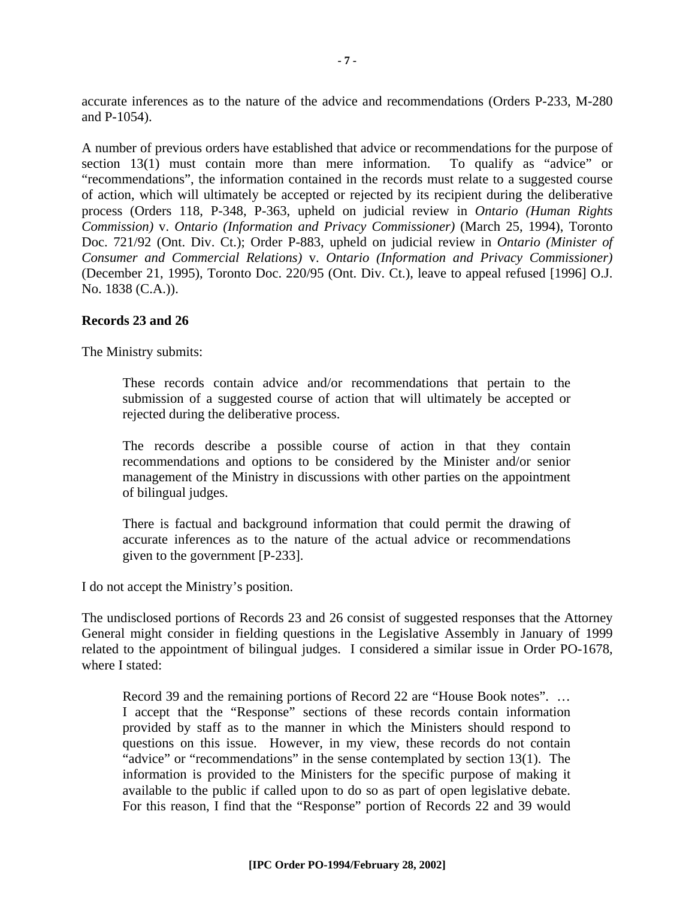accurate inferences as to the nature of the advice and recommendations (Orders P-233, M-280 and P-1054).

A number of previous orders have established that advice or recommendations for the purpose of section 13(1) must contain more than mere information. To qualify as "advice" or "recommendations", the information contained in the records must relate to a suggested course of action, which will ultimately be accepted or rejected by its recipient during the deliberative process (Orders 118, P-348, P-363, upheld on judicial review in *Ontario (Human Rights Commission)* v. *Ontario (Information and Privacy Commissioner)* (March 25, 1994), Toronto Doc. 721/92 (Ont. Div. Ct.); Order P-883, upheld on judicial review in *Ontario (Minister of Consumer and Commercial Relations)* v. *Ontario (Information and Privacy Commissioner)* (December 21, 1995), Toronto Doc. 220/95 (Ont. Div. Ct.), leave to appeal refused [1996] O.J. No. 1838 (C.A.)).

#### **Records 23 and 26**

The Ministry submits:

These records contain advice and/or recommendations that pertain to the submission of a suggested course of action that will ultimately be accepted or rejected during the deliberative process.

The records describe a possible course of action in that they contain recommendations and options to be considered by the Minister and/or senior management of the Ministry in discussions with other parties on the appointment of bilingual judges.

There is factual and background information that could permit the drawing of accurate inferences as to the nature of the actual advice or recommendations given to the government [P-233].

I do not accept the Ministry's position.

The undisclosed portions of Records 23 and 26 consist of suggested responses that the Attorney General might consider in fielding questions in the Legislative Assembly in January of 1999 related to the appointment of bilingual judges. I considered a similar issue in Order PO-1678, where I stated:

Record 39 and the remaining portions of Record 22 are "House Book notes". … I accept that the "Response" sections of these records contain information provided by staff as to the manner in which the Ministers should respond to questions on this issue. However, in my view, these records do not contain "advice" or "recommendations" in the sense contemplated by section 13(1). The information is provided to the Ministers for the specific purpose of making it available to the public if called upon to do so as part of open legislative debate. For this reason, I find that the "Response" portion of Records 22 and 39 would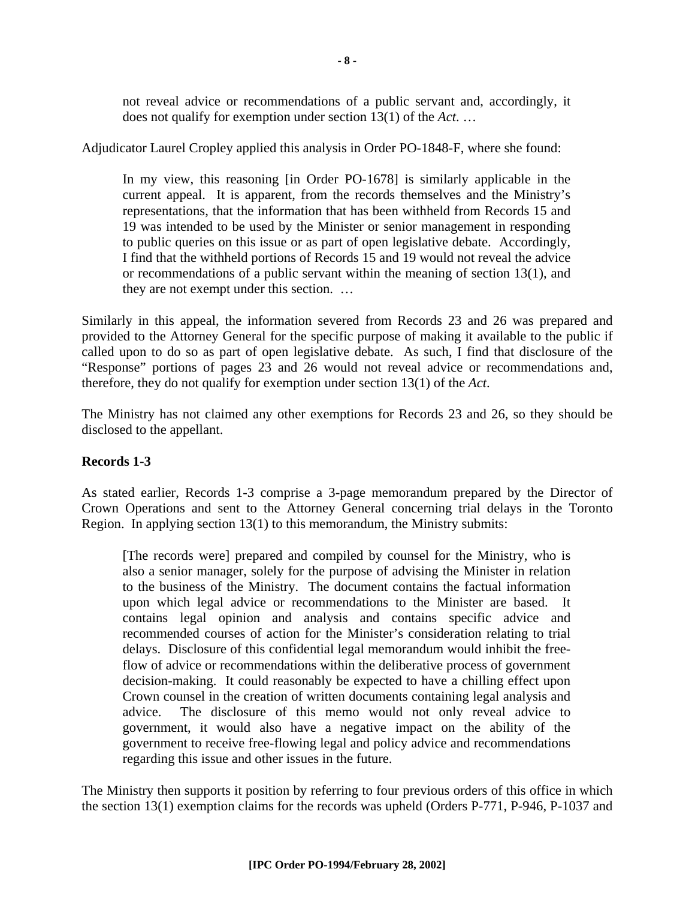not reveal advice or recommendations of a public servant and, accordingly, it does not qualify for exemption under section 13(1) of the *Act*. …

Adjudicator Laurel Cropley applied this analysis in Order PO-1848-F, where she found:

In my view, this reasoning [in Order PO-1678] is similarly applicable in the current appeal. It is apparent, from the records themselves and the Ministry's representations, that the information that has been withheld from Records 15 and 19 was intended to be used by the Minister or senior management in responding to public queries on this issue or as part of open legislative debate. Accordingly, I find that the withheld portions of Records 15 and 19 would not reveal the advice or recommendations of a public servant within the meaning of section 13(1), and they are not exempt under this section. …

Similarly in this appeal, the information severed from Records 23 and 26 was prepared and provided to the Attorney General for the specific purpose of making it available to the public if called upon to do so as part of open legislative debate. As such, I find that disclosure of the "Response" portions of pages 23 and 26 would not reveal advice or recommendations and, therefore, they do not qualify for exemption under section 13(1) of the *Act*.

The Ministry has not claimed any other exemptions for Records 23 and 26, so they should be disclosed to the appellant.

#### **Records 1-3**

As stated earlier, Records 1-3 comprise a 3-page memorandum prepared by the Director of Crown Operations and sent to the Attorney General concerning trial delays in the Toronto Region. In applying section 13(1) to this memorandum, the Ministry submits:

[The records were] prepared and compiled by counsel for the Ministry, who is also a senior manager, solely for the purpose of advising the Minister in relation to the business of the Ministry. The document contains the factual information upon which legal advice or recommendations to the Minister are based. It contains legal opinion and analysis and contains specific advice and recommended courses of action for the Minister's consideration relating to trial delays. Disclosure of this confidential legal memorandum would inhibit the freeflow of advice or recommendations within the deliberative process of government decision-making. It could reasonably be expected to have a chilling effect upon Crown counsel in the creation of written documents containing legal analysis and advice. The disclosure of this memo would not only reveal advice to government, it would also have a negative impact on the ability of the government to receive free-flowing legal and policy advice and recommendations regarding this issue and other issues in the future.

The Ministry then supports it position by referring to four previous orders of this office in which the section 13(1) exemption claims for the records was upheld (Orders P-771, P-946, P-1037 and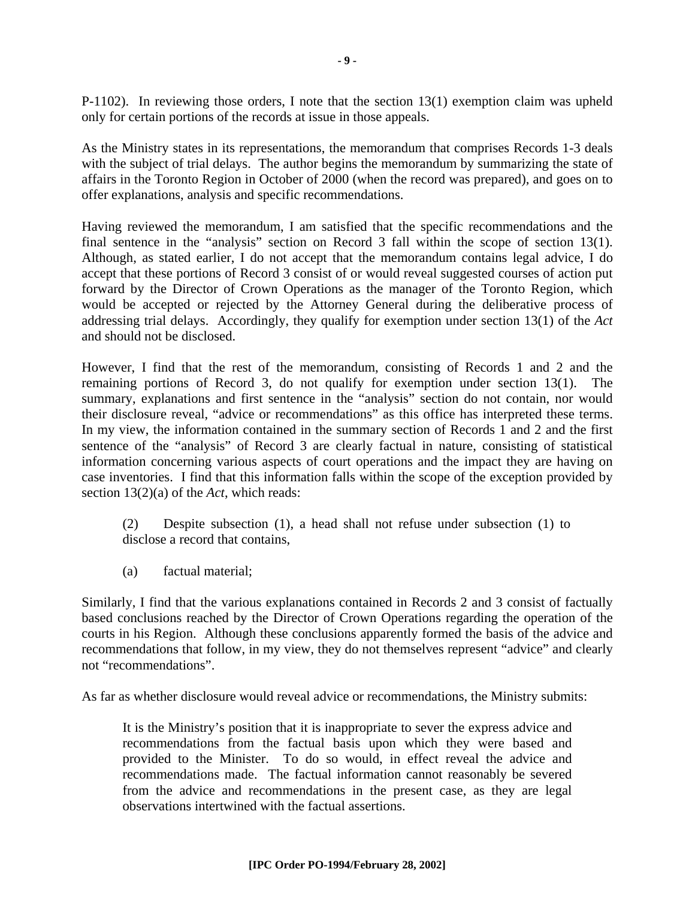P-1102). In reviewing those orders, I note that the section 13(1) exemption claim was upheld only for certain portions of the records at issue in those appeals.

As the Ministry states in its representations, the memorandum that comprises Records 1-3 deals with the subject of trial delays. The author begins the memorandum by summarizing the state of affairs in the Toronto Region in October of 2000 (when the record was prepared), and goes on to offer explanations, analysis and specific recommendations.

Having reviewed the memorandum, I am satisfied that the specific recommendations and the final sentence in the "analysis" section on Record 3 fall within the scope of section 13(1). Although, as stated earlier, I do not accept that the memorandum contains legal advice, I do accept that these portions of Record 3 consist of or would reveal suggested courses of action put forward by the Director of Crown Operations as the manager of the Toronto Region, which would be accepted or rejected by the Attorney General during the deliberative process of addressing trial delays. Accordingly, they qualify for exemption under section 13(1) of the *Act* and should not be disclosed.

However, I find that the rest of the memorandum, consisting of Records 1 and 2 and the remaining portions of Record 3, do not qualify for exemption under section 13(1). The summary, explanations and first sentence in the "analysis" section do not contain, nor would their disclosure reveal, "advice or recommendations" as this office has interpreted these terms. In my view, the information contained in the summary section of Records 1 and 2 and the first sentence of the "analysis" of Record 3 are clearly factual in nature, consisting of statistical information concerning various aspects of court operations and the impact they are having on case inventories. I find that this information falls within the scope of the exception provided by section 13(2)(a) of the *Act*, which reads:

(2) Despite subsection (1), a head shall not refuse under subsection (1) to disclose a record that contains,

(a) factual material;

Similarly, I find that the various explanations contained in Records 2 and 3 consist of factually based conclusions reached by the Director of Crown Operations regarding the operation of the courts in his Region. Although these conclusions apparently formed the basis of the advice and recommendations that follow, in my view, they do not themselves represent "advice" and clearly not "recommendations".

As far as whether disclosure would reveal advice or recommendations, the Ministry submits:

It is the Ministry's position that it is inappropriate to sever the express advice and recommendations from the factual basis upon which they were based and provided to the Minister. To do so would, in effect reveal the advice and recommendations made. The factual information cannot reasonably be severed from the advice and recommendations in the present case, as they are legal observations intertwined with the factual assertions.